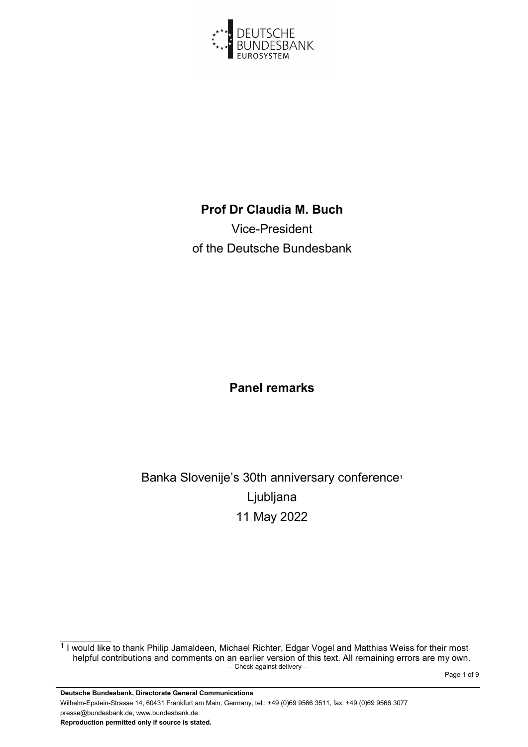

## Prof Dr Claudia M. Buch

Vice-President of the Deutsche Bundesbank

## Panel remarks

## Banka Slovenije's 30th anniversary conference<sup>1</sup> Ljubljana 11 May 2022

– Check against delivery – <sup>1</sup> I would like to thank Philip Jamaldeen, Michael Richter, Edgar Vogel and Matthias Weiss for their most helpful contributions and comments on an earlier version of this text. All remaining errors are my own.

Page 1 of 9 Page 1 of 9 Page 1 of 9 Page 1 of 9 Page 1 of 9 Page 1 of 9 Page 1 of 9 Page 1 of 9 Page 1 of 9 Page 1 of 9 Page 1 of 9 Page 1 of 9 Page 1 of 9 Page 1 of 9 Page 1 of 9 Page 1 of 9 Page 1  $\alpha$  Page 1 of 9 Page 1

Deutsche Bundesbank, Directorate General Communications Wilhelm-Epstein-Strasse 14, 60431 Frankfurt am Main, Germany, tel.: +49 (0)69 9566 3511, fax: +49 (0)69 9566 3077 presse@bundesbank.de, www.bundesbank.de Reproduction permitted only if source is stated.

 $\mathcal{L}_\text{max}$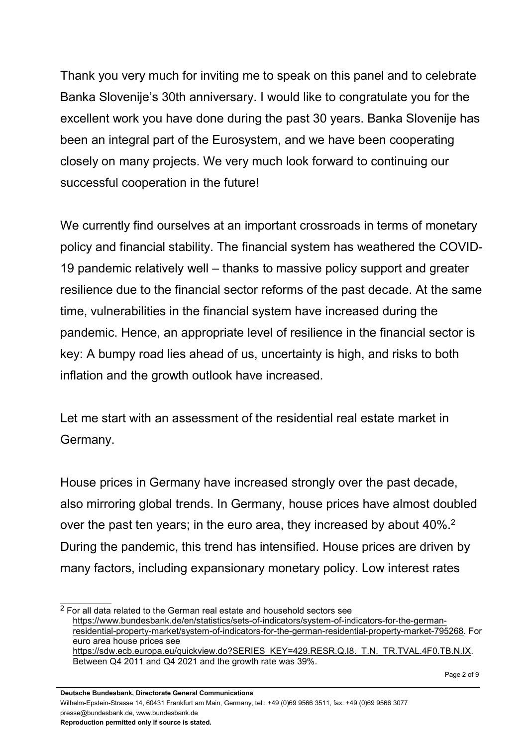Thank you very much for inviting me to speak on this panel and to celebrate Banka Slovenije's 30th anniversary. I would like to congratulate you for the excellent work you have done during the past 30 years. Banka Slovenije has been an integral part of the Eurosystem, and we have been cooperating closely on many projects. We very much look forward to continuing our successful cooperation in the future!

We currently find ourselves at an important crossroads in terms of monetary policy and financial stability. The financial system has weathered the COVID-19 pandemic relatively well – thanks to massive policy support and greater resilience due to the financial sector reforms of the past decade. At the same time, vulnerabilities in the financial system have increased during the pandemic. Hence, an appropriate level of resilience in the financial sector is key: A bumpy road lies ahead of us, uncertainty is high, and risks to both inflation and the growth outlook have increased.

Let me start with an assessment of the residential real estate market in Germany.

House prices in Germany have increased strongly over the past decade, also mirroring global trends. In Germany, house prices have almost doubled over the past ten years; in the euro area, they increased by about 40%.<sup>2</sup> During the pandemic, this trend has intensified. House prices are driven by many factors, including expansionary monetary policy. Low interest rates

 $\mathcal{L}=\mathcal{L}^{\mathcal{L}}$  $\overline{2}$  For all data related to the German real estate and household sectors see https://www.bundesbank.de/en/statistics/sets-of-indicators/system-of-indicators-for-the-germanresidential-property-market/system-of-indicators-for-the-german-residential-property-market-795268. For euro area house prices see https://sdw.ecb.europa.eu/quickview.do?SERIES\_KEY=429.RESR.Q.I8.\_T.N.\_TR.TVAL.4F0.TB.N.IX. Between Q4 2011 and Q4 2021 and the growth rate was 39%.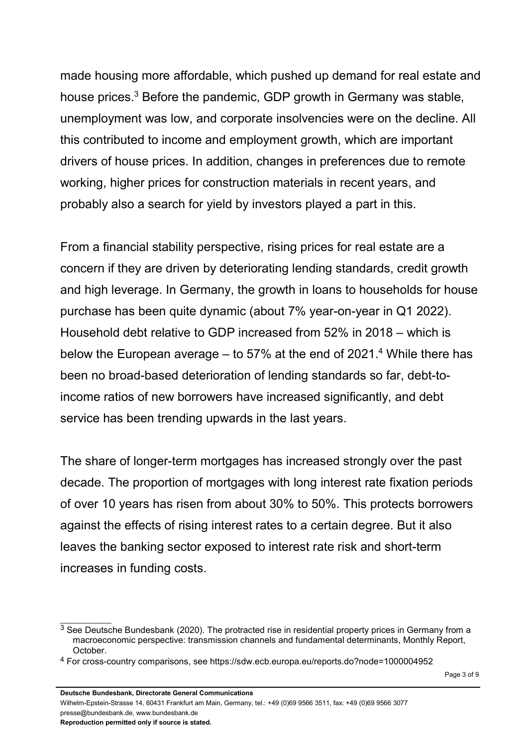made housing more affordable, which pushed up demand for real estate and house prices.<sup>3</sup> Before the pandemic, GDP growth in Germany was stable, unemployment was low, and corporate insolvencies were on the decline. All this contributed to income and employment growth, which are important drivers of house prices. In addition, changes in preferences due to remote working, higher prices for construction materials in recent years, and probably also a search for yield by investors played a part in this.

From a financial stability perspective, rising prices for real estate are a concern if they are driven by deteriorating lending standards, credit growth and high leverage. In Germany, the growth in loans to households for house purchase has been quite dynamic (about 7% year-on-year in Q1 2022). Household debt relative to GDP increased from 52% in 2018 – which is below the European average  $-$  to 57% at the end of 2021. $4$  While there has been no broad-based deterioration of lending standards so far, debt-toincome ratios of new borrowers have increased significantly, and debt service has been trending upwards in the last years.

The share of longer-term mortgages has increased strongly over the past decade. The proportion of mortgages with long interest rate fixation periods of over 10 years has risen from about 30% to 50%. This protects borrowers against the effects of rising interest rates to a certain degree. But it also leaves the banking sector exposed to interest rate risk and short-term increases in funding costs.

<sup>&</sup>lt;sup>3</sup> See Deutsche Bundesbank (2020). The protracted rise in residential property prices in Germany from a macroeconomic perspective: transmission channels and fundamental determinants, Monthly Report, October.

<sup>4</sup> For cross-country comparisons, see https://sdw.ecb.europa.eu/reports.do?node=1000004952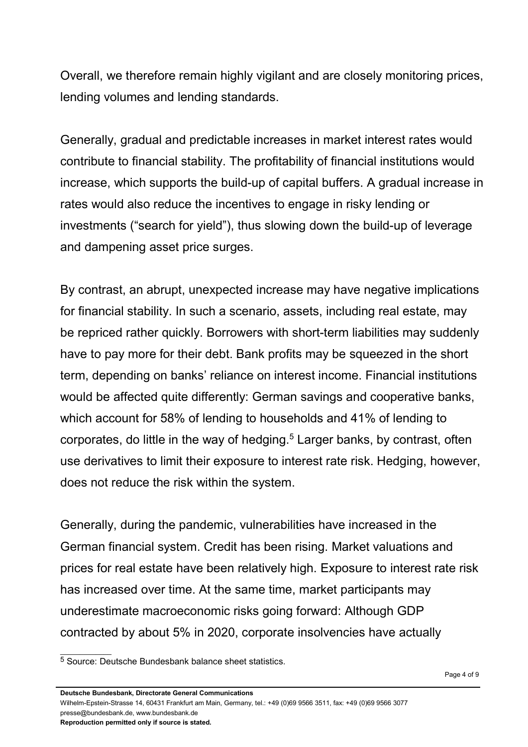Overall, we therefore remain highly vigilant and are closely monitoring prices, lending volumes and lending standards.

Generally, gradual and predictable increases in market interest rates would contribute to financial stability. The profitability of financial institutions would increase, which supports the build-up of capital buffers. A gradual increase in rates would also reduce the incentives to engage in risky lending or investments ("search for yield"), thus slowing down the build-up of leverage and dampening asset price surges.

By contrast, an abrupt, unexpected increase may have negative implications for financial stability. In such a scenario, assets, including real estate, may be repriced rather quickly. Borrowers with short-term liabilities may suddenly have to pay more for their debt. Bank profits may be squeezed in the short term, depending on banks' reliance on interest income. Financial institutions would be affected quite differently: German savings and cooperative banks, which account for 58% of lending to households and 41% of lending to corporates, do little in the way of hedging.<sup>5</sup> Larger banks, by contrast, often use derivatives to limit their exposure to interest rate risk. Hedging, however, does not reduce the risk within the system.

Generally, during the pandemic, vulnerabilities have increased in the German financial system. Credit has been rising. Market valuations and prices for real estate have been relatively high. Exposure to interest rate risk has increased over time. At the same time, market participants may underestimate macroeconomic risks going forward: Although GDP contracted by about 5% in 2020, corporate insolvencies have actually

 $\mathcal{L}_\text{max}$ 

<sup>5</sup> Source: Deutsche Bundesbank balance sheet statistics.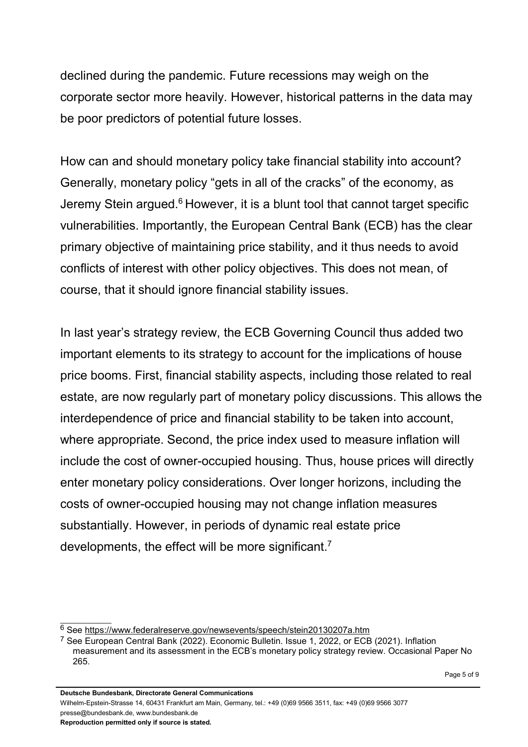declined during the pandemic. Future recessions may weigh on the corporate sector more heavily. However, historical patterns in the data may be poor predictors of potential future losses.

How can and should monetary policy take financial stability into account? Generally, monetary policy "gets in all of the cracks" of the economy, as Jeremy Stein argued.<sup>6</sup> However, it is a blunt tool that cannot target specific vulnerabilities. Importantly, the European Central Bank (ECB) has the clear primary objective of maintaining price stability, and it thus needs to avoid conflicts of interest with other policy objectives. This does not mean, of course, that it should ignore financial stability issues.

In last year's strategy review, the ECB Governing Council thus added two important elements to its strategy to account for the implications of house price booms. First, financial stability aspects, including those related to real estate, are now regularly part of monetary policy discussions. This allows the interdependence of price and financial stability to be taken into account, where appropriate. Second, the price index used to measure inflation will include the cost of owner-occupied housing. Thus, house prices will directly enter monetary policy considerations. Over longer horizons, including the costs of owner-occupied housing may not change inflation measures substantially. However, in periods of dynamic real estate price developments, the effect will be more significant.<sup>7</sup>

<sup>6</sup> See https://www.federalreserve.gov/newsevents/speech/stein20130207a.htm

<sup>7</sup> See European Central Bank (2022). Economic Bulletin. Issue 1, 2022, or ECB (2021). Inflation measurement and its assessment in the ECB's monetary policy strategy review. Occasional Paper No 265.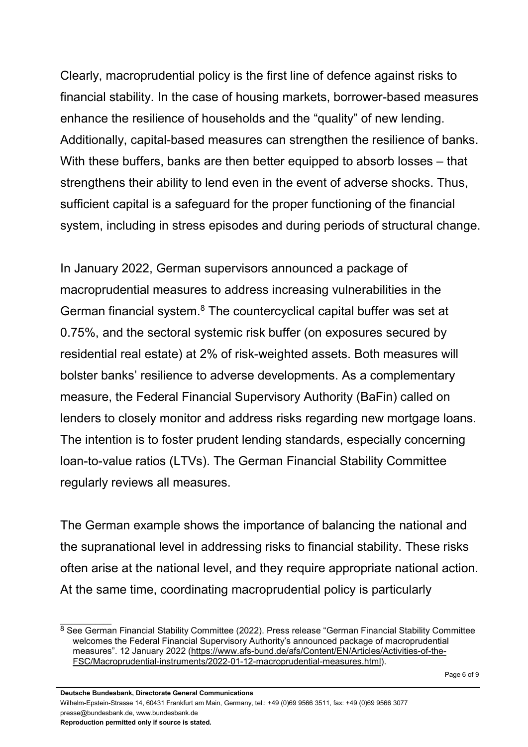Clearly, macroprudential policy is the first line of defence against risks to financial stability. In the case of housing markets, borrower-based measures enhance the resilience of households and the "quality" of new lending. Additionally, capital-based measures can strengthen the resilience of banks. With these buffers, banks are then better equipped to absorb losses – that strengthens their ability to lend even in the event of adverse shocks. Thus, sufficient capital is a safeguard for the proper functioning of the financial system, including in stress episodes and during periods of structural change.

In January 2022, German supervisors announced a package of macroprudential measures to address increasing vulnerabilities in the German financial system.<sup>8</sup> The countercyclical capital buffer was set at 0.75%, and the sectoral systemic risk buffer (on exposures secured by residential real estate) at 2% of risk-weighted assets. Both measures will bolster banks' resilience to adverse developments. As a complementary measure, the Federal Financial Supervisory Authority (BaFin) called on lenders to closely monitor and address risks regarding new mortgage loans. The intention is to foster prudent lending standards, especially concerning loan-to-value ratios (LTVs). The German Financial Stability Committee regularly reviews all measures.

The German example shows the importance of balancing the national and the supranational level in addressing risks to financial stability. These risks often arise at the national level, and they require appropriate national action. At the same time, coordinating macroprudential policy is particularly

<sup>8</sup> See German Financial Stability Committee (2022). Press release "German Financial Stability Committee welcomes the Federal Financial Supervisory Authority's announced package of macroprudential measures". 12 January 2022 (https://www.afs-bund.de/afs/Content/EN/Articles/Activities-of-the-FSC/Macroprudential-instruments/2022-01-12-macroprudential-measures.html).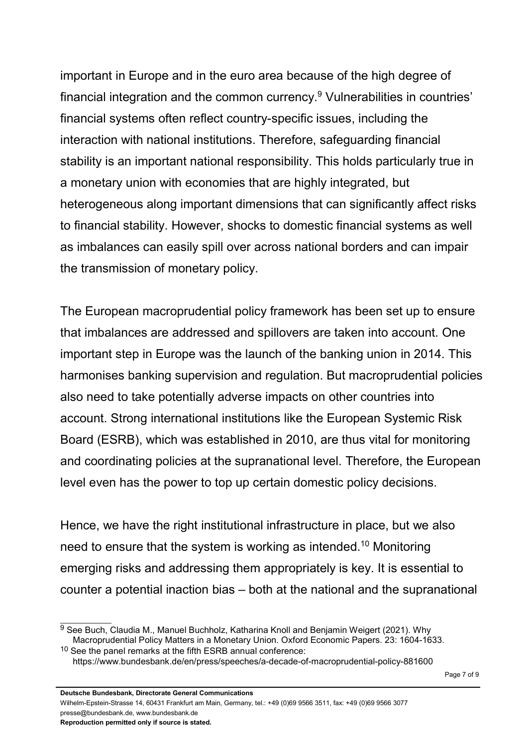important in Europe and in the euro area because of the high degree of financial integration and the common currency.<sup>9</sup> Vulnerabilities in countries' financial systems often reflect country-specific issues, including the interaction with national institutions. Therefore, safeguarding financial stability is an important national responsibility. This holds particularly true in a monetary union with economies that are highly integrated, but heterogeneous along important dimensions that can significantly affect risks to financial stability. However, shocks to domestic financial systems as well as imbalances can easily spill over across national borders and can impair the transmission of monetary policy.

The European macroprudential policy framework has been set up to ensure that imbalances are addressed and spillovers are taken into account. One important step in Europe was the launch of the banking union in 2014. This harmonises banking supervision and regulation. But macroprudential policies also need to take potentially adverse impacts on other countries into account. Strong international institutions like the European Systemic Risk Board (ESRB), which was established in 2010, are thus vital for monitoring and coordinating policies at the supranational level. Therefore, the European level even has the power to top up certain domestic policy decisions.

Hence, we have the right institutional infrastructure in place, but we also need to ensure that the system is working as intended.<sup>10</sup> Monitoring emerging risks and addressing them appropriately is key. It is essential to counter a potential inaction bias – both at the national and the supranational

<sup>9</sup> See Buch, Claudia M., Manuel Buchholz, Katharina Knoll and Benjamin Weigert (2021). Why Macroprudential Policy Matters in a Monetary Union. Oxford Economic Papers. 23: 1604-1633.

<sup>10</sup> See the panel remarks at the fifth ESRB annual conference: https://www.bundesbank.de/en/press/speeches/a-decade-of-macroprudential-policy-881600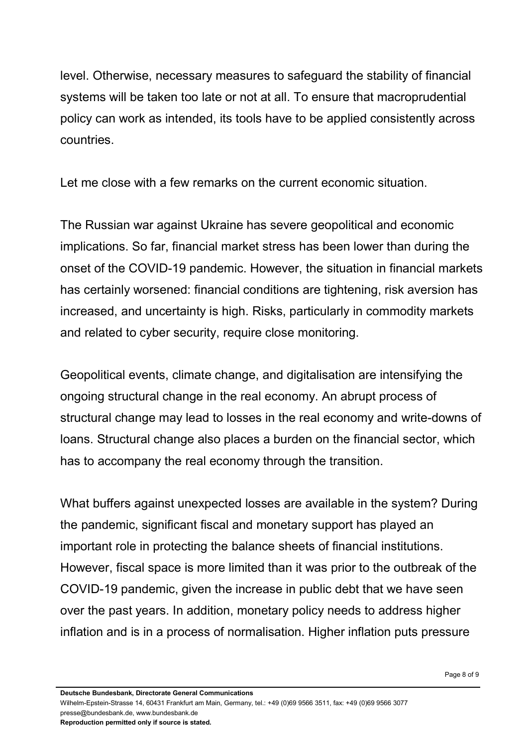level. Otherwise, necessary measures to safeguard the stability of financial systems will be taken too late or not at all. To ensure that macroprudential policy can work as intended, its tools have to be applied consistently across countries.

Let me close with a few remarks on the current economic situation.

The Russian war against Ukraine has severe geopolitical and economic implications. So far, financial market stress has been lower than during the onset of the COVID-19 pandemic. However, the situation in financial markets has certainly worsened: financial conditions are tightening, risk aversion has increased, and uncertainty is high. Risks, particularly in commodity markets and related to cyber security, require close monitoring.

Geopolitical events, climate change, and digitalisation are intensifying the ongoing structural change in the real economy. An abrupt process of structural change may lead to losses in the real economy and write-downs of loans. Structural change also places a burden on the financial sector, which has to accompany the real economy through the transition.

What buffers against unexpected losses are available in the system? During the pandemic, significant fiscal and monetary support has played an important role in protecting the balance sheets of financial institutions. However, fiscal space is more limited than it was prior to the outbreak of the COVID-19 pandemic, given the increase in public debt that we have seen over the past years. In addition, monetary policy needs to address higher inflation and is in a process of normalisation. Higher inflation puts pressure